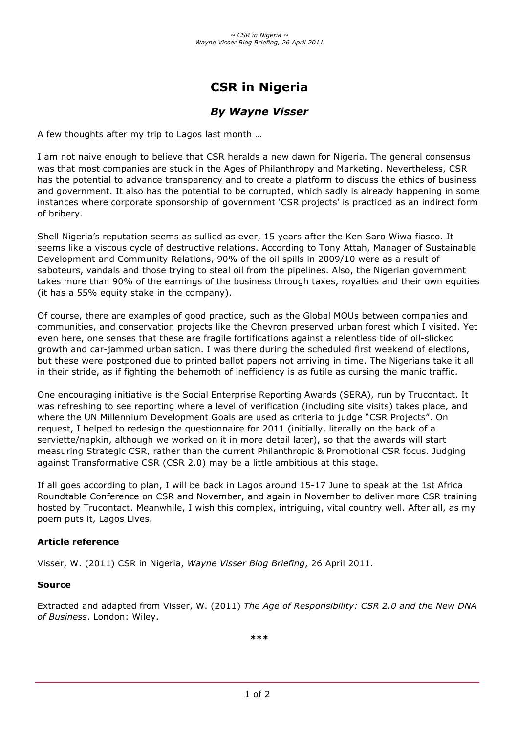# **CSR in Nigeria**

## *By Wayne Visser*

A few thoughts after my trip to Lagos last month …

I am not naive enough to believe that CSR heralds a new dawn for Nigeria. The general consensus was that most companies are stuck in the Ages of Philanthropy and Marketing. Nevertheless, CSR has the potential to advance transparency and to create a platform to discuss the ethics of business and government. It also has the potential to be corrupted, which sadly is already happening in some instances where corporate sponsorship of government 'CSR projects' is practiced as an indirect form of bribery.

Shell Nigeria's reputation seems as sullied as ever, 15 years after the Ken Saro Wiwa fiasco. It seems like a viscous cycle of destructive relations. According to Tony Attah, Manager of Sustainable Development and Community Relations, 90% of the oil spills in 2009/10 were as a result of saboteurs, vandals and those trying to steal oil from the pipelines. Also, the Nigerian government takes more than 90% of the earnings of the business through taxes, royalties and their own equities (it has a 55% equity stake in the company).

Of course, there are examples of good practice, such as the Global MOUs between companies and communities, and conservation projects like the Chevron preserved urban forest which I visited. Yet even here, one senses that these are fragile fortifications against a relentless tide of oil-slicked growth and car-jammed urbanisation. I was there during the scheduled first weekend of elections, but these were postponed due to printed ballot papers not arriving in time. The Nigerians take it all in their stride, as if fighting the behemoth of inefficiency is as futile as cursing the manic traffic.

One encouraging initiative is the Social Enterprise Reporting Awards (SERA), run by Trucontact. It was refreshing to see reporting where a level of verification (including site visits) takes place, and where the UN Millennium Development Goals are used as criteria to judge "CSR Projects". On request, I helped to redesign the questionnaire for 2011 (initially, literally on the back of a serviette/napkin, although we worked on it in more detail later), so that the awards will start measuring Strategic CSR, rather than the current Philanthropic & Promotional CSR focus. Judging against Transformative CSR (CSR 2.0) may be a little ambitious at this stage.

If all goes according to plan, I will be back in Lagos around 15-17 June to speak at the 1st Africa Roundtable Conference on CSR and November, and again in November to deliver more CSR training hosted by Trucontact. Meanwhile, I wish this complex, intriguing, vital country well. After all, as my poem puts it, Lagos Lives.

#### **Article reference**

Visser, W. (2011) CSR in Nigeria, *Wayne Visser Blog Briefing*, 26 April 2011.

#### **Source**

Extracted and adapted from Visser, W. (2011) *The Age of Responsibility: CSR 2.0 and the New DNA of Business*. London: Wiley.

**\*\*\***